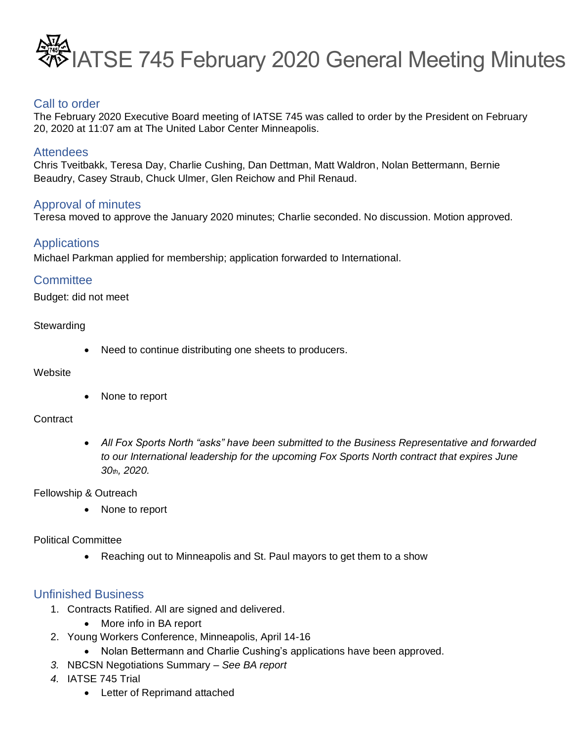

## Call to order

The February 2020 Executive Board meeting of IATSE 745 was called to order by the President on February 20, 2020 at 11:07 am at The United Labor Center Minneapolis.

#### **Attendees**

Chris Tveitbakk, Teresa Day, Charlie Cushing, Dan Dettman, Matt Waldron, Nolan Bettermann, Bernie Beaudry, Casey Straub, Chuck Ulmer, Glen Reichow and Phil Renaud.

### Approval of minutes

Teresa moved to approve the January 2020 minutes; Charlie seconded. No discussion. Motion approved.

## **Applications**

Michael Parkman applied for membership; application forwarded to International.

### **Committee**

Budget: did not meet

#### **Stewarding**

• Need to continue distributing one sheets to producers.

#### **Website**

• None to report

#### **Contract**

• *All Fox Sports North "asks" have been submitted to the Business Representative and forwarded to our International leadership for the upcoming Fox Sports North contract that expires June 30th, 2020.* 

Fellowship & Outreach

• None to report

#### Political Committee

• Reaching out to Minneapolis and St. Paul mayors to get them to a show

### Unfinished Business

- 1. Contracts Ratified. All are signed and delivered.
	- More info in BA report
- 2. Young Workers Conference, Minneapolis, April 14-16
	- Nolan Bettermann and Charlie Cushing's applications have been approved.
- *3.* NBCSN Negotiations Summary *See BA report*
- *4.* IATSE 745 Trial
	- Letter of Reprimand attached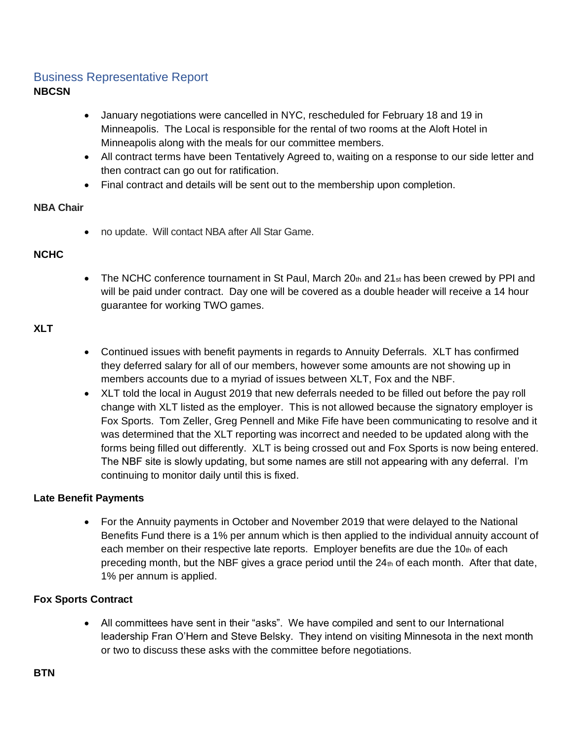## Business Representative Report **NBCSN**

- January negotiations were cancelled in NYC, rescheduled for February 18 and 19 in Minneapolis. The Local is responsible for the rental of two rooms at the Aloft Hotel in Minneapolis along with the meals for our committee members.
- All contract terms have been Tentatively Agreed to, waiting on a response to our side letter and then contract can go out for ratification.
- Final contract and details will be sent out to the membership upon completion.

#### **NBA Chair**

• no update. Will contact NBA after All Star Game.

#### **NCHC**

• The NCHC conference tournament in St Paul, March  $20<sub>th</sub>$  and  $21<sub>st</sub>$  has been crewed by PPI and will be paid under contract. Day one will be covered as a double header will receive a 14 hour guarantee for working TWO games.

#### **XLT**

- Continued issues with benefit payments in regards to Annuity Deferrals. XLT has confirmed they deferred salary for all of our members, however some amounts are not showing up in members accounts due to a myriad of issues between XLT, Fox and the NBF.
- XLT told the local in August 2019 that new deferrals needed to be filled out before the pay roll change with XLT listed as the employer. This is not allowed because the signatory employer is Fox Sports. Tom Zeller, Greg Pennell and Mike Fife have been communicating to resolve and it was determined that the XLT reporting was incorrect and needed to be updated along with the forms being filled out differently. XLT is being crossed out and Fox Sports is now being entered. The NBF site is slowly updating, but some names are still not appearing with any deferral. I'm continuing to monitor daily until this is fixed.

#### **Late Benefit Payments**

• For the Annuity payments in October and November 2019 that were delayed to the National Benefits Fund there is a 1% per annum which is then applied to the individual annuity account of each member on their respective late reports. Employer benefits are due the  $10<sub>th</sub>$  of each preceding month, but the NBF gives a grace period until the  $24<sub>th</sub>$  of each month. After that date, 1% per annum is applied.

### **Fox Sports Contract**

• All committees have sent in their "asks". We have compiled and sent to our International leadership Fran O'Hern and Steve Belsky. They intend on visiting Minnesota in the next month or two to discuss these asks with the committee before negotiations.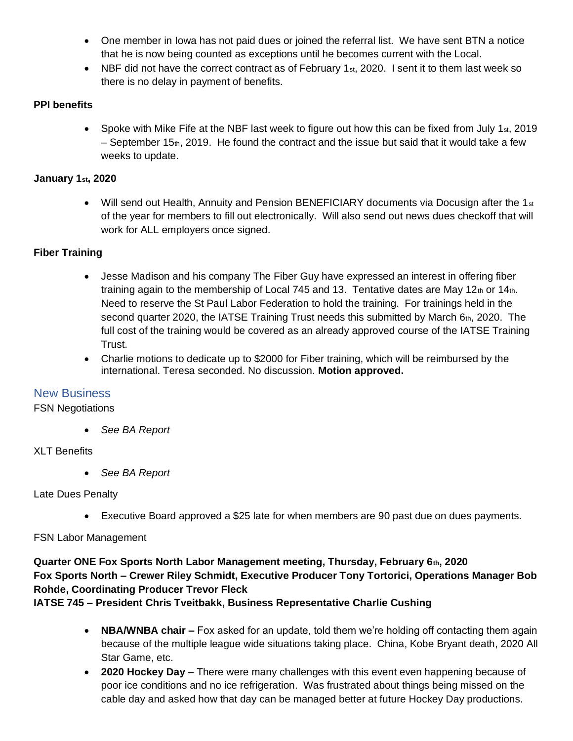- One member in lowa has not paid dues or joined the referral list. We have sent BTN a notice that he is now being counted as exceptions until he becomes current with the Local.
- NBF did not have the correct contract as of February 1st, 2020. I sent it to them last week so there is no delay in payment of benefits.

## **PPI benefits**

• Spoke with Mike Fife at the NBF last week to figure out how this can be fixed from July 1st, 2019 – September 15 $<sub>th</sub>$ , 2019. He found the contract and the issue but said that it would take a few</sub> weeks to update.

### **January 1st, 2020**

• Will send out Health, Annuity and Pension BENEFICIARY documents via Docusign after the 1 $st$ of the year for members to fill out electronically. Will also send out news dues checkoff that will work for ALL employers once signed.

## **Fiber Training**

- Jesse Madison and his company The Fiber Guy have expressed an interest in offering fiber training again to the membership of Local 745 and 13. Tentative dates are May  $12<sub>th</sub>$  or  $14<sub>th</sub>$ . Need to reserve the St Paul Labor Federation to hold the training. For trainings held in the second quarter 2020, the IATSE Training Trust needs this submitted by March  $6<sub>th</sub>$ , 2020. The full cost of the training would be covered as an already approved course of the IATSE Training Trust.
- Charlie motions to dedicate up to \$2000 for Fiber training, which will be reimbursed by the international. Teresa seconded. No discussion. **Motion approved.**

## New Business

### FSN Negotiations

• *See BA Report*

### XLT Benefits

• *See BA Report*

### Late Dues Penalty

• Executive Board approved a \$25 late for when members are 90 past due on dues payments.

### FSN Labor Management

## **Quarter ONE Fox Sports North Labor Management meeting, Thursday, February 6th, 2020 Fox Sports North – Crewer Riley Schmidt, Executive Producer Tony Tortorici, Operations Manager Bob Rohde, Coordinating Producer Trevor Fleck**

### **IATSE 745 – President Chris Tveitbakk, Business Representative Charlie Cushing**

- **NBA/WNBA chair –** Fox asked for an update, told them we're holding off contacting them again because of the multiple league wide situations taking place. China, Kobe Bryant death, 2020 All Star Game, etc.
- **2020 Hockey Day**  There were many challenges with this event even happening because of poor ice conditions and no ice refrigeration. Was frustrated about things being missed on the cable day and asked how that day can be managed better at future Hockey Day productions.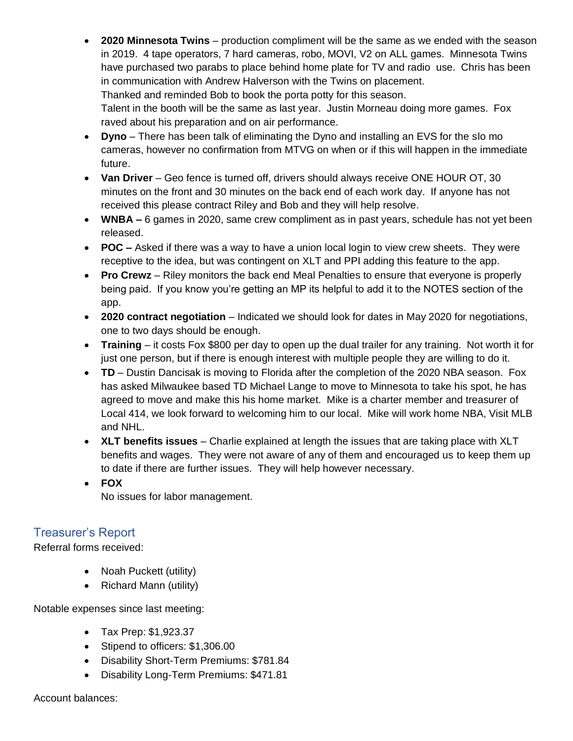• **2020 Minnesota Twins** – production compliment will be the same as we ended with the season in 2019. 4 tape operators, 7 hard cameras, robo, MOVI, V2 on ALL games. Minnesota Twins have purchased two parabs to place behind home plate for TV and radio use. Chris has been in communication with Andrew Halverson with the Twins on placement. Thanked and reminded Bob to book the porta potty for this season. Talent in the booth will be the same as last year. Justin Morneau doing more games. Fox raved about his preparation and on air performance.

- **Dyno** There has been talk of eliminating the Dyno and installing an EVS for the slo mo cameras, however no confirmation from MTVG on when or if this will happen in the immediate future.
- **Van Driver** Geo fence is turned off, drivers should always receive ONE HOUR OT, 30 minutes on the front and 30 minutes on the back end of each work day. If anyone has not received this please contract Riley and Bob and they will help resolve.
- **WNBA –** 6 games in 2020, same crew compliment as in past years, schedule has not yet been released.
- **POC –** Asked if there was a way to have a union local login to view crew sheets. They were receptive to the idea, but was contingent on XLT and PPI adding this feature to the app.
- **Pro Crewz** Riley monitors the back end Meal Penalties to ensure that everyone is properly being paid. If you know you're getting an MP its helpful to add it to the NOTES section of the app.
- **2020 contract negotiation** Indicated we should look for dates in May 2020 for negotiations, one to two days should be enough.
- **Training** it costs Fox \$800 per day to open up the dual trailer for any training. Not worth it for just one person, but if there is enough interest with multiple people they are willing to do it.
- **TD** Dustin Dancisak is moving to Florida after the completion of the 2020 NBA season. Fox has asked Milwaukee based TD Michael Lange to move to Minnesota to take his spot, he has agreed to move and make this his home market. Mike is a charter member and treasurer of Local 414, we look forward to welcoming him to our local. Mike will work home NBA, Visit MLB and NHL.
- **XLT benefits issues** Charlie explained at length the issues that are taking place with XLT benefits and wages. They were not aware of any of them and encouraged us to keep them up to date if there are further issues. They will help however necessary.
- **FOX**  No issues for labor management.

# Treasurer's Report

Referral forms received:

- Noah Puckett (utility)
- Richard Mann (utility)

Notable expenses since last meeting:

- Tax Prep: \$1,923.37
- Stipend to officers: \$1,306.00
- Disability Short-Term Premiums: \$781.84
- Disability Long-Term Premiums: \$471.81

Account balances: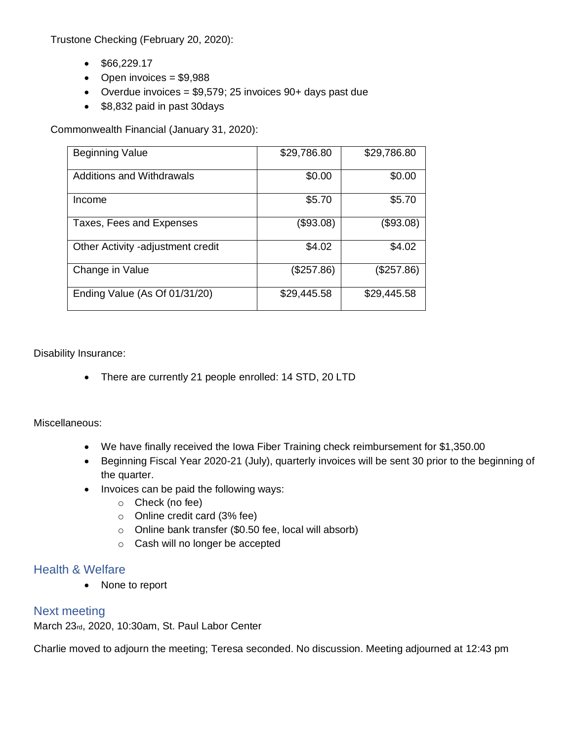Trustone Checking (February 20, 2020):

- $•$  \$66,229.17
- Open invoices  $= $9,988$
- Overdue invoices =  $$9,579; 25$  invoices  $90+$  days past due
- \$8,832 paid in past 30days

Commonwealth Financial (January 31, 2020):

| <b>Beginning Value</b>            | \$29,786.80 | \$29,786.80 |
|-----------------------------------|-------------|-------------|
| <b>Additions and Withdrawals</b>  | \$0.00      | \$0.00      |
| Income                            | \$5.70      | \$5.70      |
| Taxes, Fees and Expenses          | (\$93.08)   | (\$93.08)   |
| Other Activity -adjustment credit | \$4.02      | \$4.02      |
| Change in Value                   | (\$257.86)  | (\$257.86)  |
| Ending Value (As Of 01/31/20)     | \$29,445.58 | \$29,445.58 |

Disability Insurance:

• There are currently 21 people enrolled: 14 STD, 20 LTD

Miscellaneous:

- We have finally received the Iowa Fiber Training check reimbursement for \$1,350.00
- Beginning Fiscal Year 2020-21 (July), quarterly invoices will be sent 30 prior to the beginning of the quarter.
- Invoices can be paid the following ways:
	- o Check (no fee)
	- o Online credit card (3% fee)
	- o Online bank transfer (\$0.50 fee, local will absorb)
	- o Cash will no longer be accepted

### Health & Welfare

• None to report

### Next meeting

March 23rd, 2020, 10:30am, St. Paul Labor Center

Charlie moved to adjourn the meeting; Teresa seconded. No discussion. Meeting adjourned at 12:43 pm